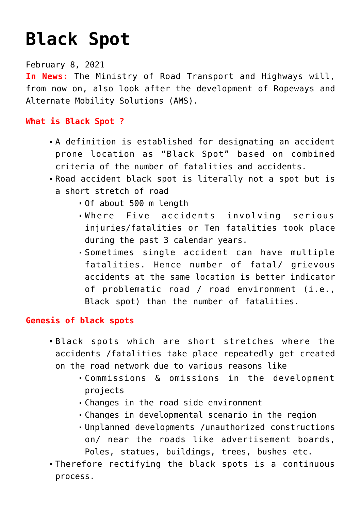# **[Black Spot](https://journalsofindia.com/black-spot/)**

February 8, 2021

**In News:** The Ministry of Road Transport and Highways will, from now on, also look after the development of Ropeways and Alternate Mobility Solutions (AMS).

## **What is Black Spot ?**

- A definition is established for designating an accident prone location as "Black Spot" based on combined criteria of the number of fatalities and accidents.
- Road accident black spot is literally not a spot but is a short stretch of road
	- Of about 500 m length
	- Where Five accidents involving serious injuries/fatalities or Ten fatalities took place during the past 3 calendar years.
	- Sometimes single accident can have multiple fatalities. Hence number of fatal/ grievous accidents at the same location is better indicator of problematic road / road environment (i.e., Black spot) than the number of fatalities.

## **Genesis of black spots**

- Black spots which are short stretches where the accidents /fatalities take place repeatedly get created on the road network due to various reasons like
	- Commissions & omissions in the development projects
	- Changes in the road side environment
	- Changes in developmental scenario in the region
	- Unplanned developments /unauthorized constructions on/ near the roads like advertisement boards, Poles, statues, buildings, trees, bushes etc.
- Therefore rectifying the black spots is a continuous process.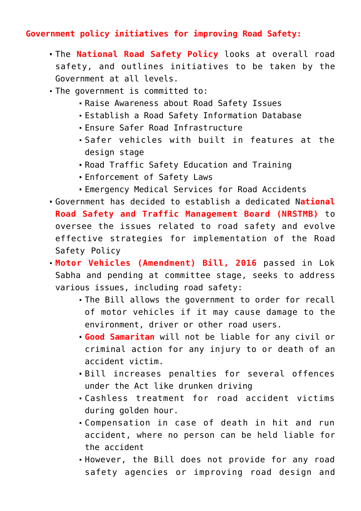## **Government policy initiatives for improving Road Safety:**

- The **National Road Safety Policy** looks at overall road safety, and outlines initiatives to be taken by the Government at all levels.
- The government is committed to:
	- Raise Awareness about Road Safety Issues
	- Establish a Road Safety Information Database
	- Ensure Safer Road Infrastructure
	- Safer vehicles with built in features at the design stage
	- Road Traffic Safety Education and Training
	- Enforcement of Safety Laws
	- Emergency Medical Services for Road Accidents
- Government has decided to establish a dedicated N**ational Road Safety and Traffic Management Board (NRSTMB)** to oversee the issues related to road safety and evolve effective strategies for implementation of the Road Safety Policy
- **Motor Vehicles (Amendment) Bill, 2016** passed in Lok Sabha and pending at committee stage, seeks to address various issues, including road safety:
	- The Bill allows the government to order for recall of motor vehicles if it may cause damage to the environment, driver or other road users.
	- **Good Samaritan** will not be liable for any civil or criminal action for any injury to or death of an accident victim.
	- Bill increases penalties for several offences under the Act like drunken driving
	- Cashless treatment for road accident victims during golden hour.
	- Compensation in case of death in hit and run accident, where no person can be held liable for the accident
	- However, the Bill does not provide for any road safety agencies or improving road design and